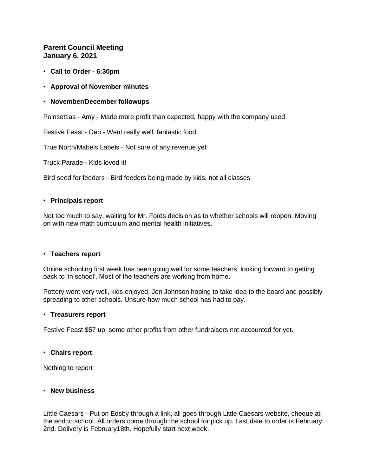# **Parent Council Meeting January 6, 2021**

- **Call to Order - 6:30pm**
- **Approval of November minutes**
- **November/December followups**

Poinsettias - Amy - Made more profit than expected, happy with the company used

Festive Feast - Deb - Went really well, fantastic food.

True North/Mabels Labels - Not sure of any revenue yet

Truck Parade - Kids loved it!

Bird seed for feeders - Bird feeders being made by kids, not all classes

## • **Principals report**

Not too much to say, waiting for Mr. Fords decision as to whether schools will reopen. Moving on with new math curriculum and mental health initiatives.

### • **Teachers report**

Online schooling first week has been going well for some teachers, looking forward to getting back to 'in school'. Most of the teachers are working from home.

Pottery went very well, kids enjoyed, Jen Johnson hoping to take idea to the board and possibly spreading to other schools. Unsure how much school has had to pay.

### • **Treasurers report**

Festive Feast \$57 up, some other profits from other fundraisers not accounted for yet.

### • **Chairs report**

Nothing to report

### • **New business**

Little Caesars - Put on Edsby through a link, all goes through Little Caesars website, cheque at the end to school. All orders come through the school for pick up. Last date to order is February 2nd. Delivery is February18th. Hopefully start next week.